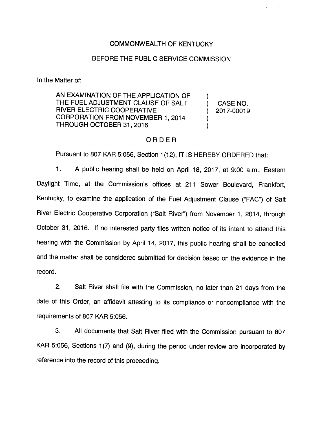## COMMONWEALTH OF KENTUCKY

### BEFORE THE PUBLIC SERVICE COMMISSION

In the Matter of:

AN EXAMINATION OF THE APPLICATION OF THE FUEL ADJUSTMENT CLAUSE OF SALT RIVER ELECTRIC COOPERATIVE CORPORATION FROM NOVEMBER 1, 2014 THROUGH OCTOBER 31, 2016

CASE NO. 2017-00019

 $\mathcal{E}$  $\mathcal{E}$  $\mathcal{Y}$  $\lambda$ 

### ORDER<sub>.</sub>

Pursuant to 807 KAR 5:056, Section 1(12), IT IS HEREBY ORDERED that:

1. A public hearing shall be held on April 18, 2017, at 9:00 a.m., Eastem Daylight Time, at the Commission's offices at 211 Sower Boulevard, Frankfort, Kentucky, to examine the application of the Fuel Adjustment Clause ("FAC") of Salt River Electric Cooperative Corporation ("Salt River") from November 1, 2014, through October 31, 2016. If no interested party files written notice of its intent to attend this hearing with the Commission by April 14, 2017, this public hearing shall be cancelled and the matter shall be considered submitted for decision based on the evidence in the record.

2. Salt River shall file with the Commission, no later than 21 days from the date of this Order, an affidavit attesting to its compliance or noncompliance with the requirements of 807 KAR 5:056.

3. All documents that Salt River filed with the Commission pursuant to 807 KAR 5:056, Sections 1(7) and (9), during the period under review are incorporated by reference into the record of this proceeding.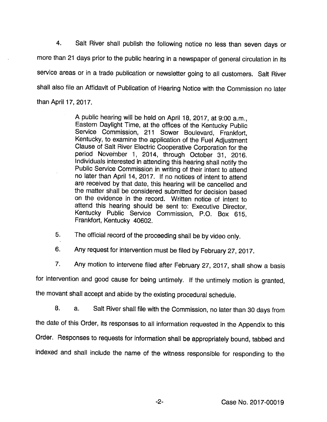4. Salt River shall publish the following notice no less than seven days or more than 21 days prior to the public hearing in a newspaper of general circulation in its service areas or in a trade publication or newsletter going to all customers. Salt River shall also file an Affidavit of Publication of Hearing Notice with the Commission no later than April 17, 2017.

> A public hearing will be held on April 18, 2017, at 9:00 a.m.. Eastern Daylight Time, at the offices of the Kentucky Public Service Commission, 211 Sower Boulevard, Frankfort, Kentucky, to examine the application of the Fuel Adjustment Clause of Salt River Electric Cooperative Corporation for the period November 1, 2014, through October 31, 2016. Individuals interested in attending this hearing shall notify the Public Service Commission in writing of their intent to attend no later than April 14, 2017. If no notices of intent to attend are received by that date, this hearing will be cancelled and the matter shall be considered submitted for decision based on the evidence in the record. Written notice of intent to attend this hearing should be sent to: Executive Director, Kentucky Public Service Commission, P.O. Box 615, Frankfort, Kentucky 40602.

5. The official record of the proceeding shall be by video only.

6. Any request for intervention must be filed by February 27, 2017.

7. Any motion to intervene filed after February 27, 2017, shall show a basis

for intervention and good cause for being untimely. If the untimely motion is granted,

the movant shall accept and abide by the existing procedural schedule.

8. a. Salt River shall file with the Commission, no later than 30 days from the date of this Order, its responses to all Information requested in the Appendix to this Order. Responses to requests for information shall be appropriately bound, tabbed and indexed and shall include the name of the witness responsible for responding to the

 $-2-$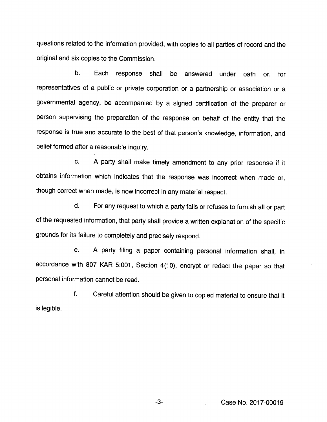questions related to the information provided, with copies to all parties of record and the original and six copies to the Commission.

b. Each response shall be answered under oath or, for representatives of a public or private corporation or a partnership or association or a governmental agency, be accompanied by a signed certification of the preparer or person supervising the preparation of the response on behatf of the entity that the response is true and accurate to the best of that person's knowledge, information, and belief formed after a reasonable inquiry.

c. A party shall make timely amendment to any prior response if it obtains information which indicates that the response was incorrect when made or, though correct when made, is now incorrect in anymaterial respect.

d. For any request to which a party fails orrefuses to furnish all or part of the requested information, that party shall provide a written explanation of the specific grounds for its failure to completely and precisely respond.

e. A party filing a paper containing personal information shall, in accordance with 807 KAR 5:001, Section 4(10), encrypt or redact the paper so that personal information cannot be read.

f. Careful attention should be given to copied material to ensure that it is legible.

-3- Case No. 2017-00019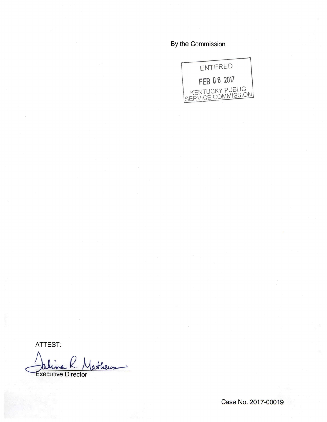By the Commission



ATTEST:

atheus xecutive Director

Case No. 2017-00019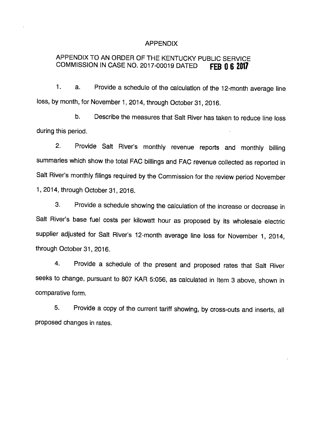#### APPENDIX

# APPENDIX TO AN ORDER OF THE KENTUCKY PUBLIC SERVICE COMMISSION IN CASE NO. 2017-00019 DATED **FEB 0 6 2017**

1. a. Provide a schedule of the calculation of the 12-month average line loss, by month, for November 1, 2014, through October 31, 2016.

b. Describe the measures that Salt River has taken to reduce line loss during this period.

2. Provide Salt River's monthly revenue reports and monthly billing summaries which show the total FAC billings and FAC revenue collected as reported in Salt River's monthly filings required by the Commission for the review period November 1, 2014, through October 31, 2016.

3. Provide a schedule showing the calculation of the increase or decrease in Salt River's base fuel costs per kilowatt hour as proposed by its wholesale electric supplier adjusted for Salt River's 12-month average line loss for November 1, 2014, through October 31, 2016.

4. Provide a schedule of the present and proposed rates that Salt River seeks to change, pursuant to 807 KAR 5:056, as calculated in Item 3 above, shown in comparative form.

5. Provide a copy of the current tariff showing, by cross-outs and inserts, all proposed changes in rates.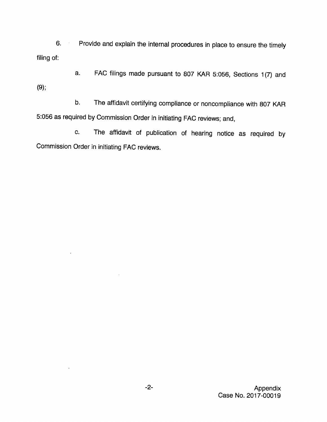6. Provide and explain the internal procedures in place to ensure the timely filing of:

a. FAC filings made pursuant to 807 KAR 5:056, Sections 1(7) and (9):

b. The affidavit certifying compliance or noncompliance with 807 KAR 5:056 as required by Commission Order in initiating FAC reviews; and,

c. The affidavit of publication of hearing notice as required by Commission Order in initiating FAC reviews.

 $\cdot$ 

 $\ddot{\phantom{1}}$